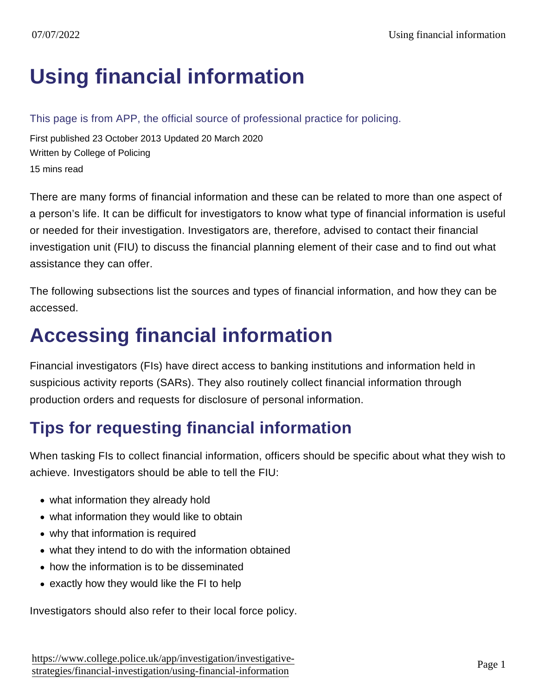# [Using financial information](https://www.college.police.uk/app/investigation/investigative-strategies/financial-investigation/using-financial-information)

This page is from APP, the official source of professional practice for policing.

First published 23 October 2013 Updated 20 March 2020 Written by College of Policing 15 mins read

There are many forms of financial information and these can be related to more than one aspect of a person's life. It can be difficult for investigators to know what type of financial information is useful or needed for their investigation. Investigators are, therefore, advised to contact their financial investigation unit (FIU) to discuss the financial planning element of their case and to find out what assistance they can offer.

The following subsections list the sources and types of financial information, and how they can be accessed.

# Accessing financial information

Financial investigators (FIs) have direct access to banking institutions and information held in suspicious activity reports (SARs). They also routinely collect financial information through production orders and requests for disclosure of personal information.

## Tips for requesting financial information

When tasking FIs to collect financial information, officers should be specific about what they wish to achieve. Investigators should be able to tell the FIU:

- what information they already hold
- what information they would like to obtain
- why that information is required
- what they intend to do with the information obtained
- how the information is to be disseminated
- exactly how they would like the FI to help

Investigators should also refer to their local force policy.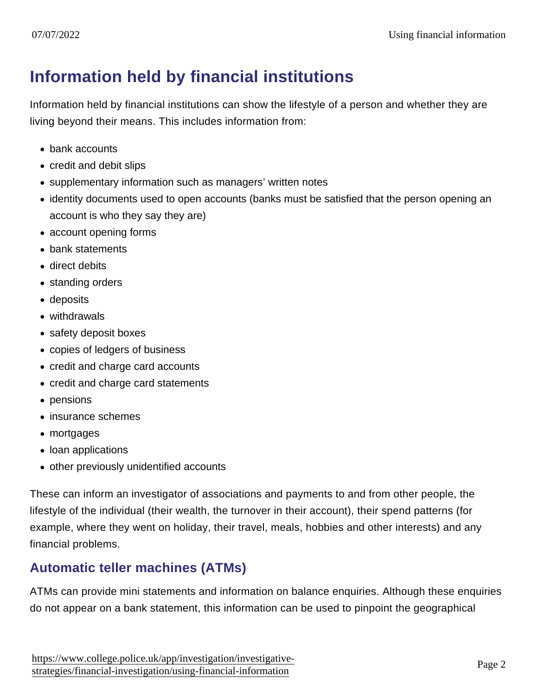## Information held by financial institutions

Information held by financial institutions can show the lifestyle of a person and whether they are living beyond their means. This includes information from:

- bank accounts
- credit and debit slips
- supplementary information such as managers' written notes
- identity documents used to open accounts (banks must be satisfied that the person opening an account is who they say they are)
- account opening forms
- bank statements
- direct debits
- standing orders
- deposits
- withdrawals
- safety deposit boxes
- copies of ledgers of business
- credit and charge card accounts
- credit and charge card statements
- pensions
- insurance schemes
- mortgages
- loan applications
- other previously unidentified accounts

These can inform an investigator of associations and payments to and from other people, the lifestyle of the individual (their wealth, the turnover in their account), their spend patterns (for example, where they went on holiday, their travel, meals, hobbies and other interests) and any financial problems.

### Automatic teller machines (ATMs)

ATMs can provide mini statements and information on balance enquiries. Although these enquiries do not appear on a bank statement, this information can be used to pinpoint the geographical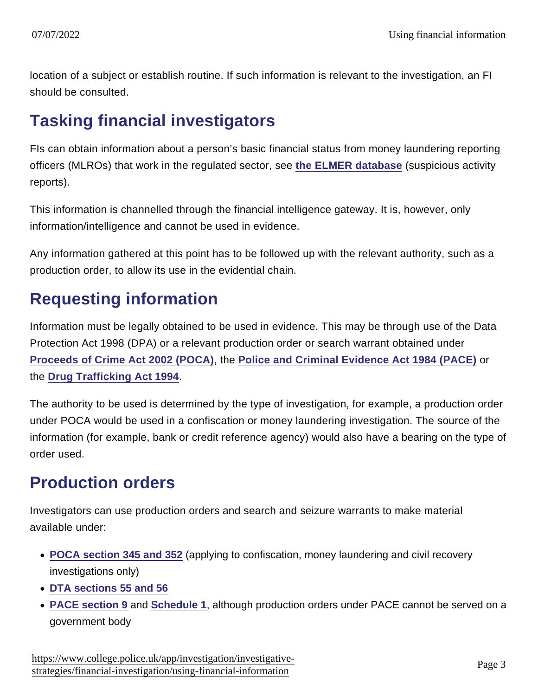location of a subject or establish routine. If such information is relevant to the investigation, an FI should be consulted.

## Tasking financial investigators

FIs can obtain information about a person's basic financial status from money laundering reporting officers (MLROs) that work in the regulated sector, see [the ELMER database](https://www.app.college.police.uk/app-content/investigations/investigative-strategies/financial-investigation-2/using-financial-information/#the-elmer-database) (suspicious activity reports).

This information is channelled through the financial intelligence gateway. It is, however, only information/intelligence and cannot be used in evidence.

Any information gathered at this point has to be followed up with the relevant authority, such as a production order, to allow its use in the evidential chain.

## Requesting information

Information must be legally obtained to be used in evidence. This may be through use of the Data Protection Act 1998 (DPA) or a relevant production order or search warrant obtained under [Proceeds of Crime Act 2002 \(POCA\)](http://www.legislation.gov.uk/ukpga/2002/29/contents) , the [Police and Criminal Evidence Act 1984 \(PACE\)](https://www.gov.uk/guidance/police-and-criminal-evidence-act-1984-pace-codes-of-practice) or the [Drug Trafficking Act 1994](http://www.legislation.gov.uk/ukpga/1994/37/contents) .

The authority to be used is determined by the type of investigation, for example, a production order under POCA would be used in a confiscation or money laundering investigation. The source of the information (for example, bank or credit reference agency) would also have a bearing on the type of order used.

## Production orders

Investigators can use production orders and search and seizure warrants to make material available under:

- [POCA section 345 and 352](http://www.legislation.gov.uk/ukpga/2002/29/part/8/chapter/2) (applying to confiscation, money laundering and civil recovery investigations only)
- [DTA sections 55 and 56](http://www.legislation.gov.uk/ukpga/1994/37/part/IV/crossheading/investigations-into-drug-trafficking)
- [PACE section 9](https://www.gov.uk/guidance/police-and-criminal-evidence-act-1984-pace-codes-of-practice) and [Schedule 1](https://www.gov.uk/guidance/police-and-criminal-evidence-act-1984-pace-codes-of-practice) , although production orders under PACE cannot be served on a government body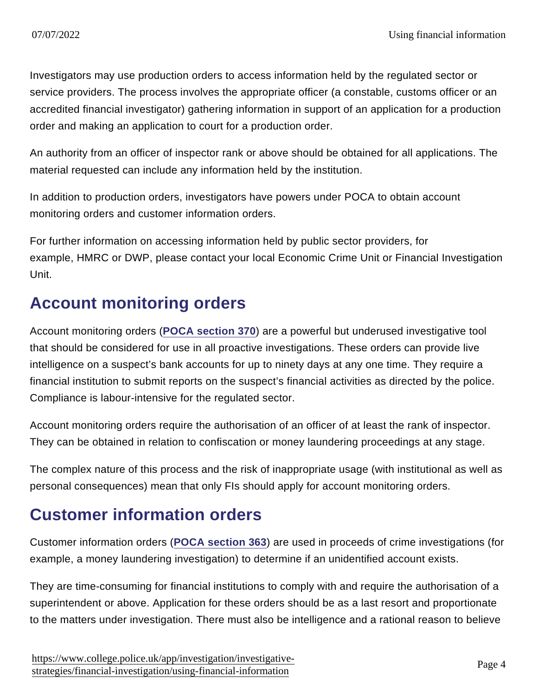Investigators may use production orders to access information held by the regulated sector or service providers. The process involves the appropriate officer (a constable, customs officer or an accredited financial investigator) gathering information in support of an application for a production order and making an application to court for a production order.

An authority from an officer of inspector rank or above should be obtained for all applications. The material requested can include any information held by the institution.

In addition to production orders, investigators have powers under POCA to obtain account monitoring orders and customer information orders.

For further information on accessing information held by public sector providers, for example, HMRC or DWP, please contact your local Economic Crime Unit or Financial Investigation Unit.

## Account monitoring orders

Account monitoring orders [\(POCA section 370](http://www.legislation.gov.uk/ukpga/2002/29/section/370) ) are a powerful but underused investigative tool that should be considered for use in all proactive investigations. These orders can provide live intelligence on a suspect's bank accounts for up to ninety days at any one time. They require a financial institution to submit reports on the suspect's financial activities as directed by the police. Compliance is labour-intensive for the regulated sector.

Account monitoring orders require the authorisation of an officer of at least the rank of inspector. They can be obtained in relation to confiscation or money laundering proceedings at any stage.

The complex nature of this process and the risk of inappropriate usage (with institutional as well as personal consequences) mean that only FIs should apply for account monitoring orders.

## Customer information orders

Customer information orders ([POCA section 363](http://www.legislation.gov.uk/ukpga/2002/29/section/363) ) are used in proceeds of crime investigations (for example, a money laundering investigation) to determine if an unidentified account exists.

They are time-consuming for financial institutions to comply with and require the authorisation of a superintendent or above. Application for these orders should be as a last resort and proportionate to the matters under investigation. There must also be intelligence and a rational reason to believe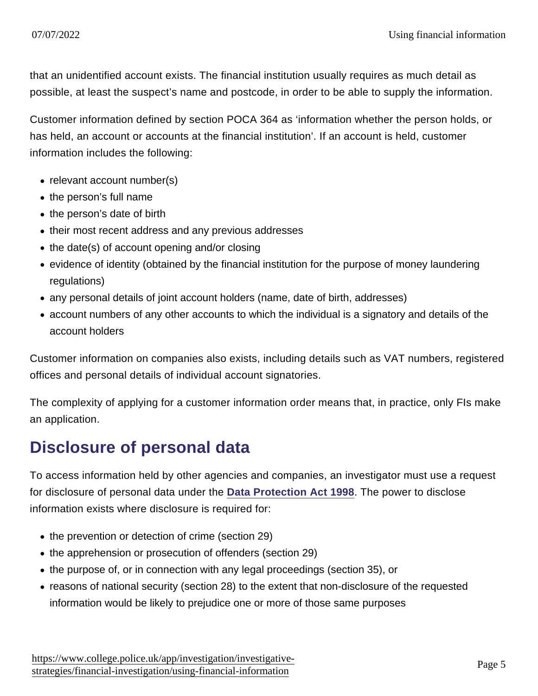that an unidentified account exists. The financial institution usually requires as much detail as possible, at least the suspect's name and postcode, in order to be able to supply the information.

Customer information defined by section POCA 364 as 'information whether the person holds, or has held, an account or accounts at the financial institution'. If an account is held, customer information includes the following:

- relevant account number(s)
- the person's full name
- the person's date of birth
- their most recent address and any previous addresses
- $\bullet$  the date(s) of account opening and/or closing
- evidence of identity (obtained by the financial institution for the purpose of money laundering regulations)
- any personal details of joint account holders (name, date of birth, addresses)
- account numbers of any other accounts to which the individual is a signatory and details of the account holders

Customer information on companies also exists, including details such as VAT numbers, registered offices and personal details of individual account signatories.

The complexity of applying for a customer information order means that, in practice, only FIs make an application.

## Disclosure of personal data

To access information held by other agencies and companies, an investigator must use a request for disclosure of personal data under the [Data Protection Act 1998](http://www.legislation.gov.uk/ukpga/1998/29/contents) . The power to disclose information exists where disclosure is required for:

- the prevention or detection of crime (section 29)
- the apprehension or prosecution of offenders (section 29)
- the purpose of, or in connection with any legal proceedings (section 35), or
- reasons of national security (section 28) to the extent that non-disclosure of the requested information would be likely to prejudice one or more of those same purposes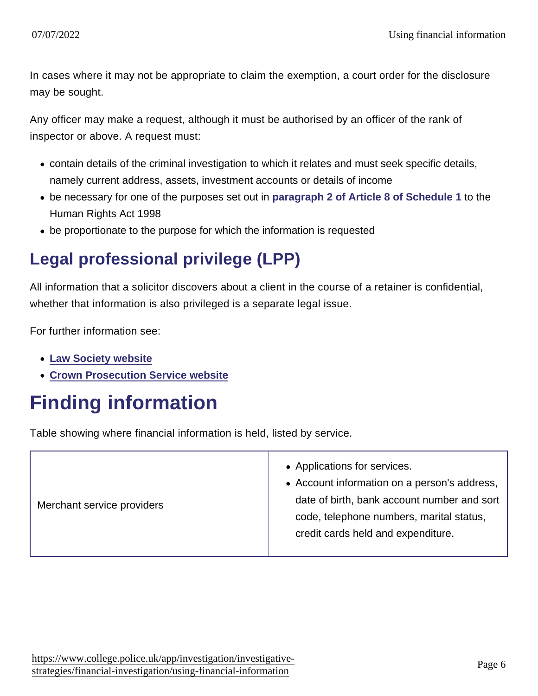In cases where it may not be appropriate to claim the exemption, a court order for the disclosure may be sought.

Any officer may make a request, although it must be authorised by an officer of the rank of inspector or above. A request must:

- contain details of the criminal investigation to which it relates and must seek specific details, namely current address, assets, investment accounts or details of income
- $\bullet$  be necessary for one of the purposes set out in [paragraph 2 of Article 8 of Schedule 1](http://www.legislation.gov.uk/ukpga/1998/42/schedule/1) to the Human Rights Act 1998
- be proportionate to the purpose for which the information is requested

## Legal professional privilege (LPP)

All information that a solicitor discovers about a client in the course of a retainer is confidential, whether that information is also privileged is a separate legal issue.

For further information see:

- [Law Society website](http://www.lawsociety.org.uk/productsandservices/practicenotes/aml/458.article)
- [Crown Prosecution Service website](http://www.cps.gov.uk/legal/d_to_g/dpps_investigatory_powers/)

# Finding information

Table showing where financial information is held, listed by service.

| Merchant service providers | • Applications for services.<br>• Account information on a person's address,<br>date of birth, bank account number and sort<br>code, telephone numbers, marital status,<br>credit cards held and expenditure. |
|----------------------------|---------------------------------------------------------------------------------------------------------------------------------------------------------------------------------------------------------------|
|----------------------------|---------------------------------------------------------------------------------------------------------------------------------------------------------------------------------------------------------------|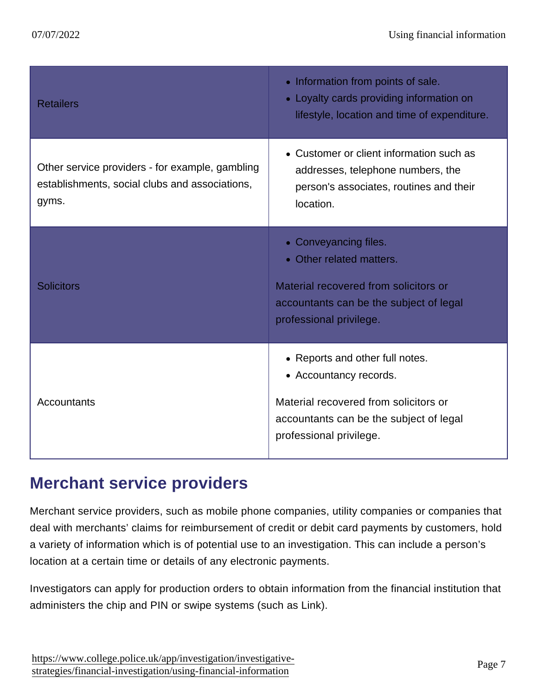| <b>Retailers</b>                                                                                           | • Information from points of sale.<br>• Loyalty cards providing information on<br>lifestyle, location and time of expenditure.                                           |
|------------------------------------------------------------------------------------------------------------|--------------------------------------------------------------------------------------------------------------------------------------------------------------------------|
| Other service providers - for example, gambling<br>establishments, social clubs and associations,<br>gyms. | • Customer or client information such as<br>addresses, telephone numbers, the<br>person's associates, routines and their<br>location.                                    |
| <b>Solicitors</b>                                                                                          | • Conveyancing files.<br>• Other related matters.<br>Material recovered from solicitors or<br>accountants can be the subject of legal<br>professional privilege.         |
| Accountants                                                                                                | • Reports and other full notes.<br>• Accountancy records.<br>Material recovered from solicitors or<br>accountants can be the subject of legal<br>professional privilege. |

## Merchant service providers

Merchant service providers, such as mobile phone companies, utility companies or companies that deal with merchants' claims for reimbursement of credit or debit card payments by customers, hold a variety of information which is of potential use to an investigation. This can include a person's location at a certain time or details of any electronic payments.

Investigators can apply for production orders to obtain information from the financial institution that administers the chip and PIN or swipe systems (such as Link).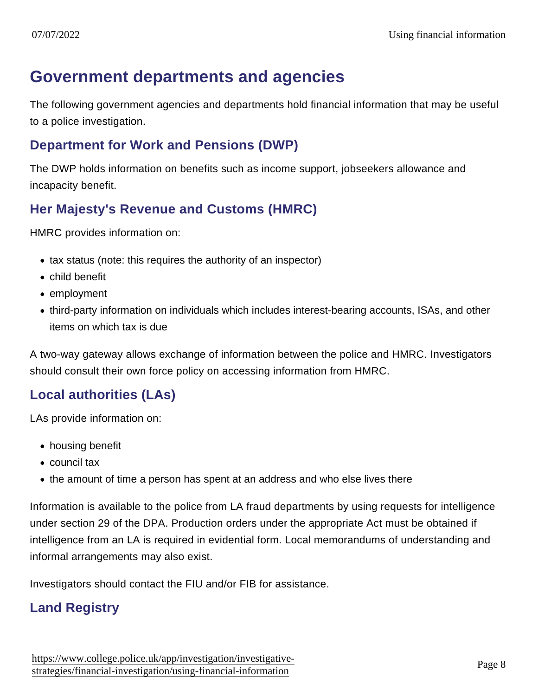## Government departments and agencies

The following government agencies and departments hold financial information that may be useful to a police investigation.

#### Department for Work and Pensions (DWP)

The DWP holds information on benefits such as income support, jobseekers allowance and incapacity benefit.

#### Her Majesty's Revenue and Customs (HMRC)

HMRC provides information on:

- tax status (note: this requires the authority of an inspector)
- child benefit
- employment
- third-party information on individuals which includes interest-bearing accounts, ISAs, and other items on which tax is due

A two-way gateway allows exchange of information between the police and HMRC. Investigators should consult their own force policy on accessing information from HMRC.

#### Local authorities (LAs)

LAs provide information on:

- housing benefit
- council tax
- the amount of time a person has spent at an address and who else lives there

Information is available to the police from LA fraud departments by using requests for intelligence under section 29 of the DPA. Production orders under the appropriate Act must be obtained if intelligence from an LA is required in evidential form. Local memorandums of understanding and informal arrangements may also exist.

Investigators should contact the FIU and/or FIB for assistance.

#### Land Registry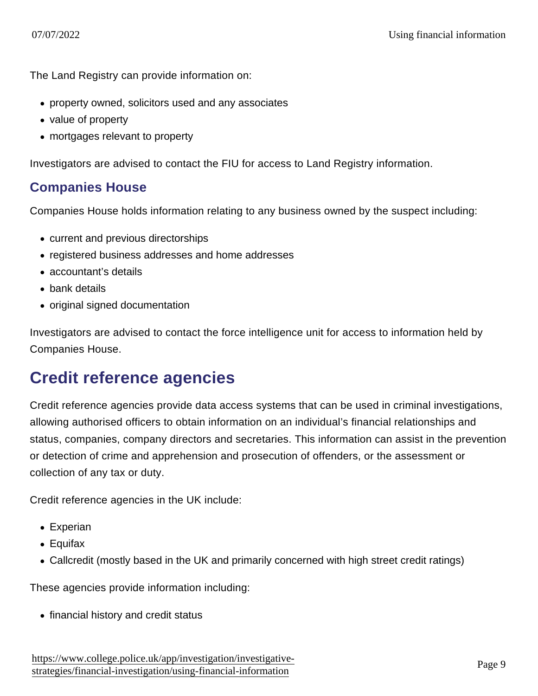The Land Registry can provide information on:

- property owned, solicitors used and any associates
- value of property
- mortgages relevant to property

Investigators are advised to contact the FIU for access to Land Registry information.

#### Companies House

Companies House holds information relating to any business owned by the suspect including:

- current and previous directorships
- registered business addresses and home addresses
- accountant's details
- bank details
- original signed documentation

Investigators are advised to contact the force intelligence unit for access to information held by Companies House.

## Credit reference agencies

Credit reference agencies provide data access systems that can be used in criminal investigations, allowing authorised officers to obtain information on an individual's financial relationships and status, companies, company directors and secretaries. This information can assist in the prevention or detection of crime and apprehension and prosecution of offenders, or the assessment or collection of any tax or duty.

Credit reference agencies in the UK include:

- Experian
- Equifax
- Callcredit (mostly based in the UK and primarily concerned with high street credit ratings)

These agencies provide information including:

• financial history and credit status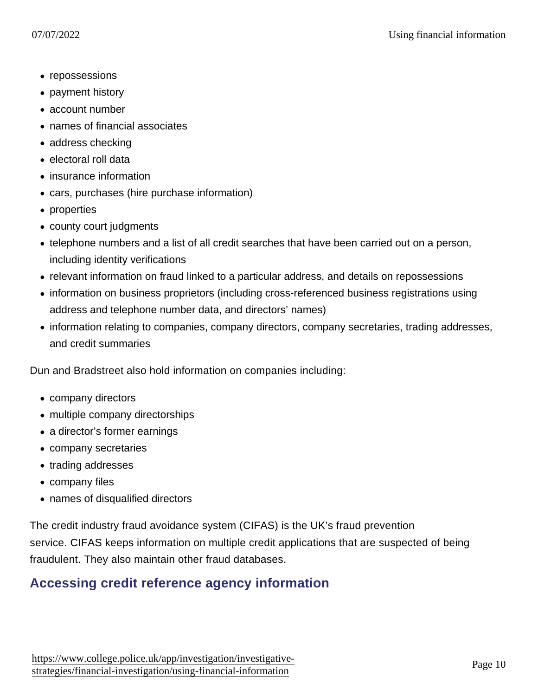- repossessions
- payment history
- account number
- names of financial associates
- address checking
- electoral roll data
- insurance information
- cars, purchases (hire purchase information)
- properties
- county court judgments
- telephone numbers and a list of all credit searches that have been carried out on a person, including identity verifications
- relevant information on fraud linked to a particular address, and details on repossessions
- information on business proprietors (including cross-referenced business registrations using address and telephone number data, and directors' names)
- information relating to companies, company directors, company secretaries, trading addresses, and credit summaries

Dun and Bradstreet also hold information on companies including:

- company directors
- multiple company directorships
- a director's former earnings
- company secretaries
- trading addresses
- company files
- names of disqualified directors

The credit industry fraud avoidance system (CIFAS) is the UK's fraud prevention service. CIFAS keeps information on multiple credit applications that are suspected of being fraudulent. They also maintain other fraud databases.

### Accessing credit reference agency information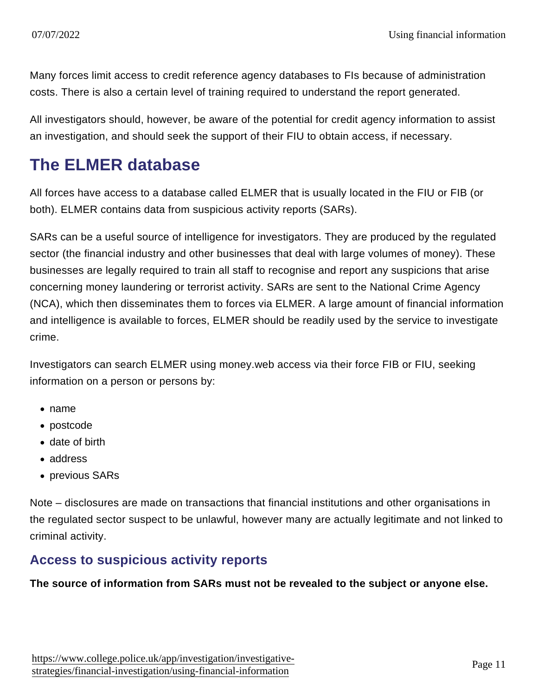Many forces limit access to credit reference agency databases to FIs because of administration costs. There is also a certain level of training required to understand the report generated.

All investigators should, however, be aware of the potential for credit agency information to assist an investigation, and should seek the support of their FIU to obtain access, if necessary.

## The ELMER database

All forces have access to a database called ELMER that is usually located in the FIU or FIB (or both). ELMER contains data from suspicious activity reports (SARs).

SARs can be a useful source of intelligence for investigators. They are produced by the regulated sector (the financial industry and other businesses that deal with large volumes of money). These businesses are legally required to train all staff to recognise and report any suspicions that arise concerning money laundering or terrorist activity. SARs are sent to the National Crime Agency (NCA), which then disseminates them to forces via ELMER. A large amount of financial information and intelligence is available to forces, ELMER should be readily used by the service to investigate crime.

Investigators can search ELMER using money.web access via their force FIB or FIU, seeking information on a person or persons by:

- name
- postcode
- date of birth
- address
- previous SARs

Note – disclosures are made on transactions that financial institutions and other organisations in the regulated sector suspect to be unlawful, however many are actually legitimate and not linked to criminal activity.

#### Access to suspicious activity reports

The source of information from SARs must not be revealed to the subject or anyone else.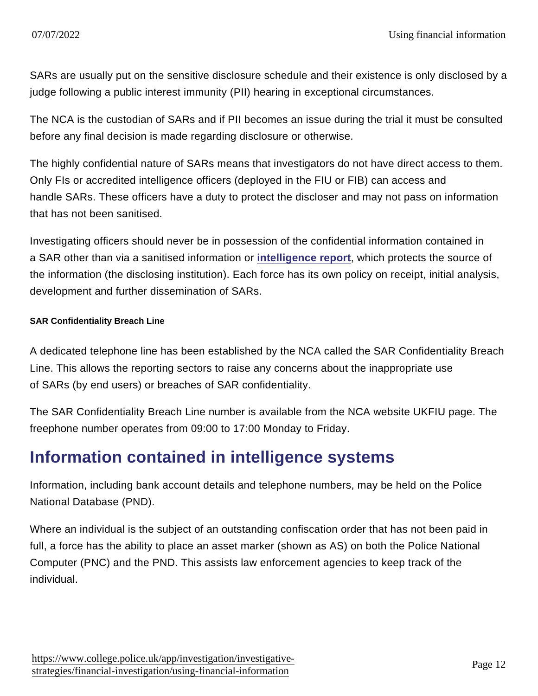SARs are usually put on the sensitive disclosure schedule and their existence is only disclosed by a judge following a public interest immunity (PII) hearing in exceptional circumstances.

The NCA is the custodian of SARs and if PII becomes an issue during the trial it must be consulted before any final decision is made regarding disclosure or otherwise.

The highly confidential nature of SARs means that investigators do not have direct access to them. Only FIs or accredited intelligence officers (deployed in the FIU or FIB) can access and handle SARs. These officers have a duty to protect the discloser and may not pass on information that has not been sanitised.

Investigating officers should never be in possession of the confidential information contained in a SAR other than via a sanitised information or [intelligence report](https://www.app.college.police.uk/app-content/intelligence-management/intelligence-report/) , which protects the source of the information (the disclosing institution). Each force has its own policy on receipt, initial analysis, development and further dissemination of SARs.

SAR Confidentiality Breach Line

A dedicated telephone line has been established by the NCA called the SAR Confidentiality Breach Line. This allows the reporting sectors to raise any concerns about the inappropriate use of SARs (by end users) or breaches of SAR confidentiality.

The SAR Confidentiality Breach Line number is available from the NCA website UKFIU page. The freephone number operates from 09:00 to 17:00 Monday to Friday.

## Information contained in intelligence systems

Information, including bank account details and telephone numbers, may be held on the Police National Database (PND).

Where an individual is the subject of an outstanding confiscation order that has not been paid in full, a force has the ability to place an asset marker (shown as AS) on both the Police National Computer (PNC) and the PND. This assists law enforcement agencies to keep track of the individual.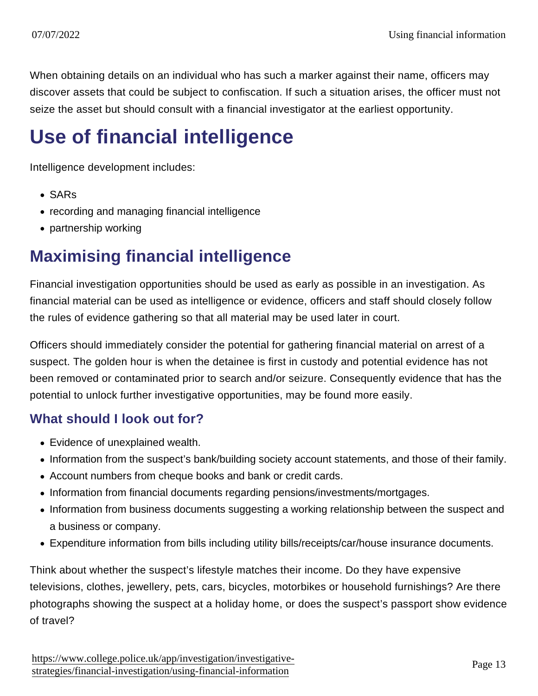When obtaining details on an individual who has such a marker against their name, officers may discover assets that could be subject to confiscation. If such a situation arises, the officer must not seize the asset but should consult with a financial investigator at the earliest opportunity.

# Use of financial intelligence

Intelligence development includes:

- SARs
- recording and managing financial intelligence
- partnership working

## Maximising financial intelligence

Financial investigation opportunities should be used as early as possible in an investigation. As financial material can be used as intelligence or evidence, officers and staff should closely follow the rules of evidence gathering so that all material may be used later in court.

Officers should immediately consider the potential for gathering financial material on arrest of a suspect. The golden hour is when the detainee is first in custody and potential evidence has not been removed or contaminated prior to search and/or seizure. Consequently evidence that has the potential to unlock further investigative opportunities, may be found more easily.

#### What should I look out for?

- Evidence of unexplained wealth.
- Information from the suspect's bank/building society account statements, and those of their family.
- Account numbers from cheque books and bank or credit cards.
- Information from financial documents regarding pensions/investments/mortgages.
- Information from business documents suggesting a working relationship between the suspect and a business or company.
- Expenditure information from bills including utility bills/receipts/car/house insurance documents.

Think about whether the suspect's lifestyle matches their income. Do they have expensive televisions, clothes, jewellery, pets, cars, bicycles, motorbikes or household furnishings? Are there photographs showing the suspect at a holiday home, or does the suspect's passport show evidence of travel?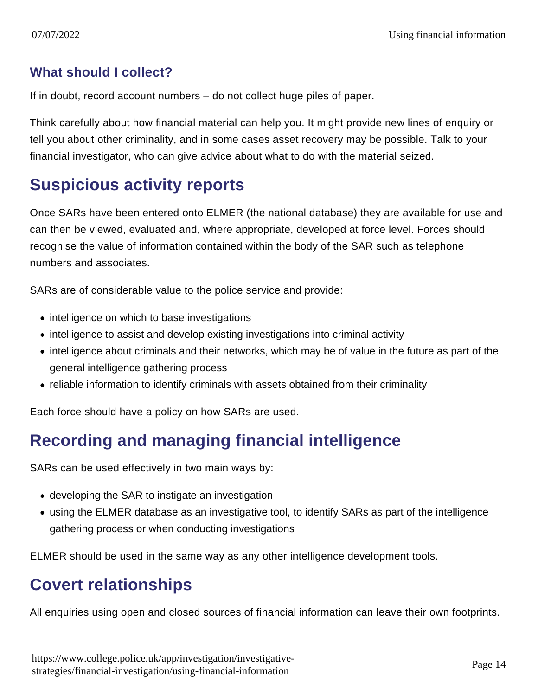#### What should I collect?

If in doubt, record account numbers – do not collect huge piles of paper.

Think carefully about how financial material can help you. It might provide new lines of enquiry or tell you about other criminality, and in some cases asset recovery may be possible. Talk to your financial investigator, who can give advice about what to do with the material seized.

## Suspicious activity reports

Once SARs have been entered onto ELMER (the national database) they are available for use and can then be viewed, evaluated and, where appropriate, developed at force level. Forces should recognise the value of information contained within the body of the SAR such as telephone numbers and associates.

SARs are of considerable value to the police service and provide:

- intelligence on which to base investigations
- intelligence to assist and develop existing investigations into criminal activity
- intelligence about criminals and their networks, which may be of value in the future as part of the general intelligence gathering process
- reliable information to identify criminals with assets obtained from their criminality

Each force should have a policy on how SARs are used.

## Recording and managing financial intelligence

SARs can be used effectively in two main ways by:

- developing the SAR to instigate an investigation
- using the ELMER database as an investigative tool, to identify SARs as part of the intelligence gathering process or when conducting investigations

ELMER should be used in the same way as any other intelligence development tools.

## Covert relationships

All enquiries using open and closed sources of financial information can leave their own footprints.